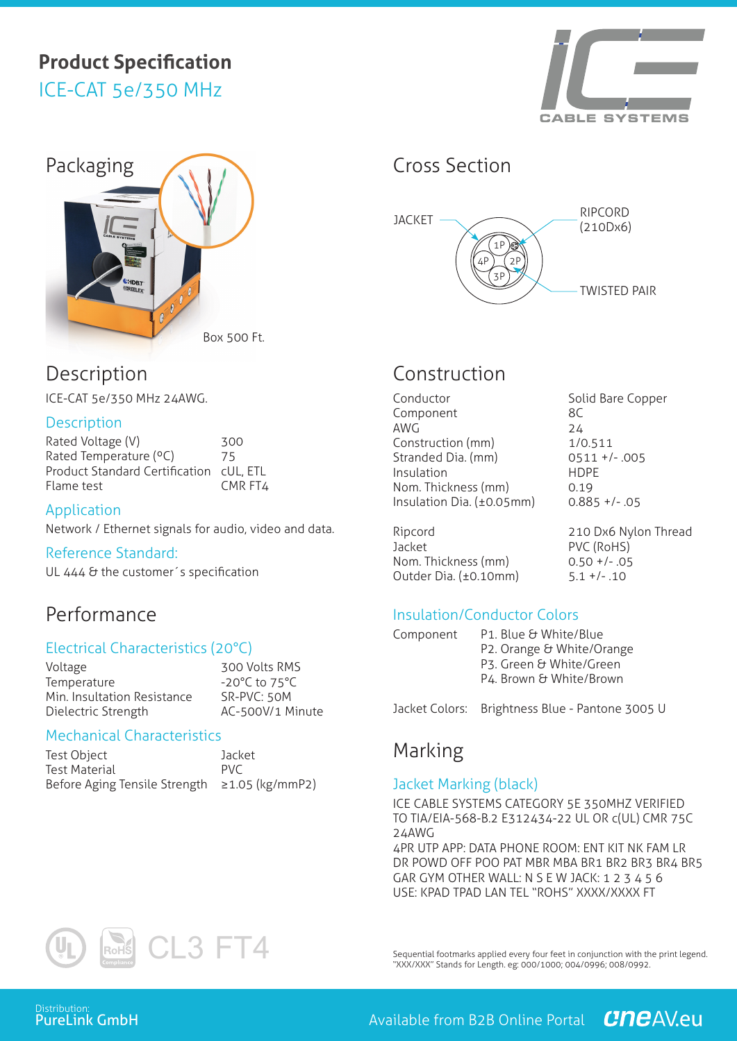# **Product Specification** ICE-CAT 5e/350 MHz





# Description

ICE-CAT 5e/350 MHz 24AWG.

### **Description**

Rated Voltage (V) 300 Rated Temperature (°C) 75 Product Standard Certification cUL, ETL Flame test CMR FT4

#### Application

Network / Ethernet signals for audio, video and data.

Reference Standard:

UL 444 & the customer's specification

## Performance

#### Electrical Characteristics (20°C)

Voltage 300 Volts RMS Temperature -20°C to 75°C Min. Insultation Resistance SR-PVC: 50M Dielectric Strength <br>AC-500V/1 Minute

#### Mechanical Characteristics

| Test Object                                   | Jacket     |
|-----------------------------------------------|------------|
| Test Material                                 | <b>PVC</b> |
| Before Aging Tensile Strength ≥1.05 (kg/mmP2) |            |



# Construction

| Conductor                 | Solio      |
|---------------------------|------------|
| Component                 | 8C         |
| AWG                       | 24         |
| Construction (mm)         | 1/0.       |
| Stranded Dia. (mm)        | 051        |
| Insulation                | <b>HDP</b> |
| Nom. Thickness (mm)       | 0.19       |
| Insulation Dia. (±0.05mm) | 0.88       |

Ripcord 210 Dx6 Nylon Thread Jacket PVC (RoHS) Nom. Thickness (mm) 0.50 +/- .05 Outder Dia. (±0.10mm) 5.1 +/- .10

Solid Bare Copper  $1/0.511$  $0511 +/- .005$ **HDPF**  $0.885 +/- .05$ 

## Insulation/Conductor Colors

| Component | P1. Blue & White/Blue     |  |  |
|-----------|---------------------------|--|--|
|           | P2. Orange & White/Orange |  |  |
|           | P3. Green & White/Green   |  |  |
|           | P4. Brown & White/Brown   |  |  |

Jacket Colors: Brightness Blue - Pantone 3005 U

## Marking

### Jacket Marking (black)

ICE CABLE SYSTEMS CATEGORY 5E 350MHZ VERIFIED TO TIA/EIA-568-B.2 E312434-22 UL OR c(UL) CMR 75C 24AWG

4PR UTP APP: DATA PHONE ROOM: ENT KIT NK FAM LR DR POWD OFF POO PAT MBR MBA BR1 BR2 BR3 BR4 BR5 GAR GYM OTHER WALL: N S E W JACK: 1 2 3 4 5 6 USE: KPAD TPAD LAN TEL "ROHS" XXXX/XXXX FT



Sequential footmarks applied every four feet in conjunction with the print legend. "XXX/XXX" Stands for Length. eg: 000/1000; 004/0996; 008/0992.